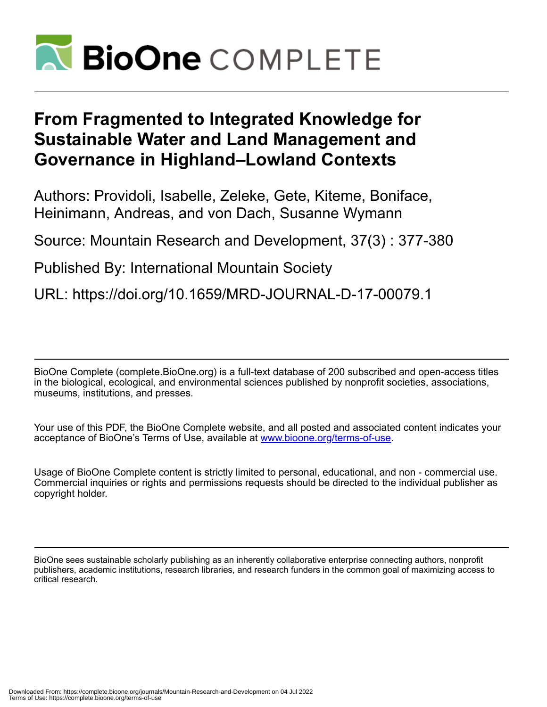

## **From Fragmented to Integrated Knowledge for Sustainable Water and Land Management and Governance in Highland–Lowland Contexts**

Authors: Providoli, Isabelle, Zeleke, Gete, Kiteme, Boniface, Heinimann, Andreas, and von Dach, Susanne Wymann

Source: Mountain Research and Development, 37(3) : 377-380

Published By: International Mountain Society

URL: https://doi.org/10.1659/MRD-JOURNAL-D-17-00079.1

BioOne Complete (complete.BioOne.org) is a full-text database of 200 subscribed and open-access titles in the biological, ecological, and environmental sciences published by nonprofit societies, associations, museums, institutions, and presses.

Your use of this PDF, the BioOne Complete website, and all posted and associated content indicates your acceptance of BioOne's Terms of Use, available at www.bioone.org/terms-of-use.

Usage of BioOne Complete content is strictly limited to personal, educational, and non - commercial use. Commercial inquiries or rights and permissions requests should be directed to the individual publisher as copyright holder.

BioOne sees sustainable scholarly publishing as an inherently collaborative enterprise connecting authors, nonprofit publishers, academic institutions, research libraries, and research funders in the common goal of maximizing access to critical research.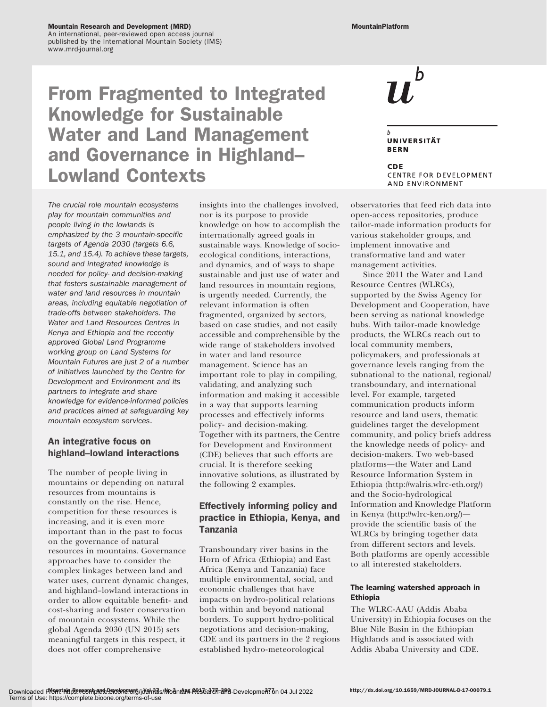#### Mountain Research and Development (MRD)

An international, peer-reviewed open access journal published by the International Mountain Society (IMS) www.mrd-journal.org

# From Fragmented to Integrated Knowledge for Sustainable Water and Land Management and Governance in Highland– Lowland Contexts

# b 77

## **UNIVERSITÄT BERN**

**CDE** CENTRE FOR DEVELOPMENT AND ENVIRONMENT

The crucial role mountain ecosystems play for mountain communities and people living in the lowlands is emphasized by the 3 mountain-specific targets of Agenda 2030 (targets 6.6, 15.1, and 15.4). To achieve these targets, sound and integrated knowledge is needed for policy- and decision-making that fosters sustainable management of water and land resources in mountain areas, including equitable negotiation of trade-offs between stakeholders. The Water and Land Resources Centres in Kenya and Ethiopia and the recently approved Global Land Programme working group on Land Systems for Mountain Futures are just 2 of a number of initiatives launched by the Centre for Development and Environment and its partners to integrate and share knowledge for evidence-informed policies and practices aimed at safeguarding key mountain ecosystem services.

## An integrative focus on highland–lowland interactions

The number of people living in mountains or depending on natural resources from mountains is constantly on the rise. Hence, competition for these resources is increasing, and it is even more important than in the past to focus on the governance of natural resources in mountains. Governance approaches have to consider the complex linkages between land and water uses, current dynamic changes, and highland–lowland interactions in order to allow equitable benefit- and cost-sharing and foster conservation of mountain ecosystems. While the global Agenda 2030 (UN 2015) sets meaningful targets in this respect, it does not offer comprehensive

insights into the challenges involved, nor is its purpose to provide knowledge on how to accomplish the internationally agreed goals in sustainable ways. Knowledge of socioecological conditions, interactions, and dynamics, and of ways to shape sustainable and just use of water and land resources in mountain regions, is urgently needed. Currently, the relevant information is often fragmented, organized by sectors, based on case studies, and not easily accessible and comprehensible by the wide range of stakeholders involved in water and land resource management. Science has an important role to play in compiling, validating, and analyzing such information and making it accessible in a way that supports learning processes and effectively informs policy- and decision-making. Together with its partners, the Centre for Development and Environment (CDE) believes that such efforts are crucial. It is therefore seeking innovative solutions, as illustrated by the following 2 examples.

## Effectively informing policy and practice in Ethiopia, Kenya, and Tanzania

Transboundary river basins in the Horn of Africa (Ethiopia) and East Africa (Kenya and Tanzania) face multiple environmental, social, and economic challenges that have impacts on hydro-political relations both within and beyond national borders. To support hydro-political negotiations and decision-making, CDE and its partners in the 2 regions established hydro-meteorological

observatories that feed rich data into open-access repositories, produce tailor-made information products for various stakeholder groups, and implement innovative and transformative land and water management activities.

Since 2011 the Water and Land Resource Centres (WLRCs), supported by the Swiss Agency for Development and Cooperation, have been serving as national knowledge hubs. With tailor-made knowledge products, the WLRCs reach out to local community members, policymakers, and professionals at governance levels ranging from the subnational to the national, regional/ transboundary, and international level. For example, targeted communication products inform resource and land users, thematic guidelines target the development community, and policy briefs address the knowledge needs of policy- and decision-makers. Two web-based platforms—the Water and Land Resource Information System in Ethiopia [\(http://walris.wlrc-eth.org/\)](http://walris.wlrc-eth.org/) and the Socio-hydrological Information and Knowledge Platform in Kenya [\(http://wlrc-ken.org/\)](http://wlrc-ken.org/)—provide) [provide](http://wlrc-ken.org/)—provide) the scientific basis of the WLRCs by bringing together data from different sectors and levels. Both platforms are openly accessible to all interested stakeholders.

## The learning watershed approach in Ethiopia

The WLRC-AAU (Addis Ababa University) in Ethiopia focuses on the Blue Nile Basin in the Ethiopian Highlands and is associated with Addis Ababa University and CDE.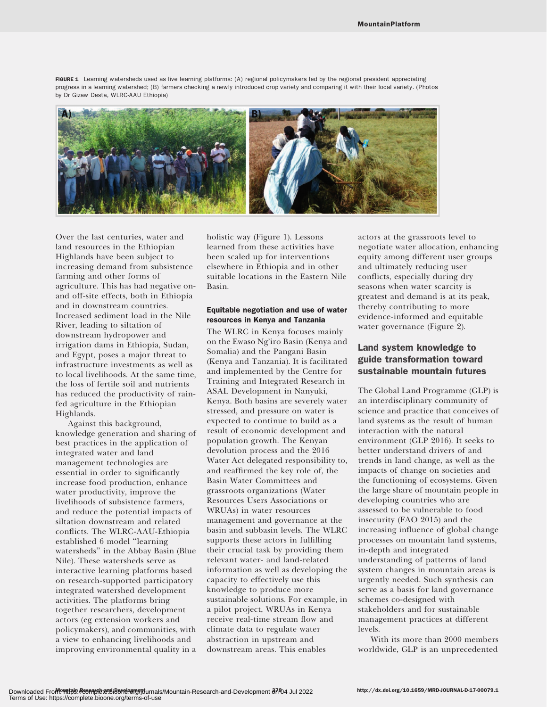FIGURE 1 Learning watersheds used as live learning platforms: (A) regional policymakers led by the regional president appreciating progress in a learning watershed; (B) farmers checking a newly introduced crop variety and comparing it with their local variety. (Photos by Dr Gizaw Desta, WLRC-AAU Ethiopia)



Over the last centuries, water and land resources in the Ethiopian Highlands have been subject to increasing demand from subsistence farming and other forms of agriculture. This has had negative onand off-site effects, both in Ethiopia and in downstream countries. Increased sediment load in the Nile River, leading to siltation of downstream hydropower and irrigation dams in Ethiopia, Sudan, and Egypt, poses a major threat to infrastructure investments as well as to local livelihoods. At the same time, the loss of fertile soil and nutrients has reduced the productivity of rainfed agriculture in the Ethiopian Highlands.

Against this background, knowledge generation and sharing of best practices in the application of integrated water and land management technologies are essential in order to significantly increase food production, enhance water productivity, improve the livelihoods of subsistence farmers, and reduce the potential impacts of siltation downstream and related conflicts. The WLRC-AAU-Ethiopia established 6 model ''learning watersheds'' in the Abbay Basin (Blue Nile). These watersheds serve as interactive learning platforms based on research-supported participatory integrated watershed development activities. The platforms bring together researchers, development actors (eg extension workers and policymakers), and communities, with a view to enhancing livelihoods and improving environmental quality in a

holistic way (Figure 1). Lessons learned from these activities have been scaled up for interventions elsewhere in Ethiopia and in other suitable locations in the Eastern Nile Basin.

## Equitable negotiation and use of water resources in Kenya and Tanzania

The WLRC in Kenya focuses mainly on the Ewaso Ng'iro Basin (Kenya and Somalia) and the Pangani Basin (Kenya and Tanzania). It is facilitated and implemented by the Centre for Training and Integrated Research in ASAL Development in Nanyuki, Kenya. Both basins are severely water stressed, and pressure on water is expected to continue to build as a result of economic development and population growth. The Kenyan devolution process and the 2016 Water Act delegated responsibility to, and reaffirmed the key role of, the Basin Water Committees and grassroots organizations (Water Resources Users Associations or WRUAs) in water resources management and governance at the basin and subbasin levels. The WLRC supports these actors in fulfilling their crucial task by providing them relevant water- and land-related information as well as developing the capacity to effectively use this knowledge to produce more sustainable solutions. For example, in a pilot project, WRUAs in Kenya receive real-time stream flow and climate data to regulate water abstraction in upstream and downstream areas. This enables

actors at the grassroots level to negotiate water allocation, enhancing equity among different user groups and ultimately reducing user conflicts, especially during dry seasons when water scarcity is greatest and demand is at its peak, thereby contributing to more evidence-informed and equitable water governance (Figure 2).

## Land system knowledge to guide transformation toward sustainable mountain futures

The Global Land Programme (GLP) is an interdisciplinary community of science and practice that conceives of land systems as the result of human interaction with the natural environment (GLP 2016). It seeks to better understand drivers of and trends in land change, as well as the impacts of change on societies and the functioning of ecosystems. Given the large share of mountain people in developing countries who are assessed to be vulnerable to food insecurity (FAO 2015) and the increasing influence of global change processes on mountain land systems, in-depth and integrated understanding of patterns of land system changes in mountain areas is urgently needed. Such synthesis can serve as a basis for land governance schemes co-designed with stakeholders and for sustainable management practices at different levels.

With its more than 2000 members worldwide, GLP is an unprecedented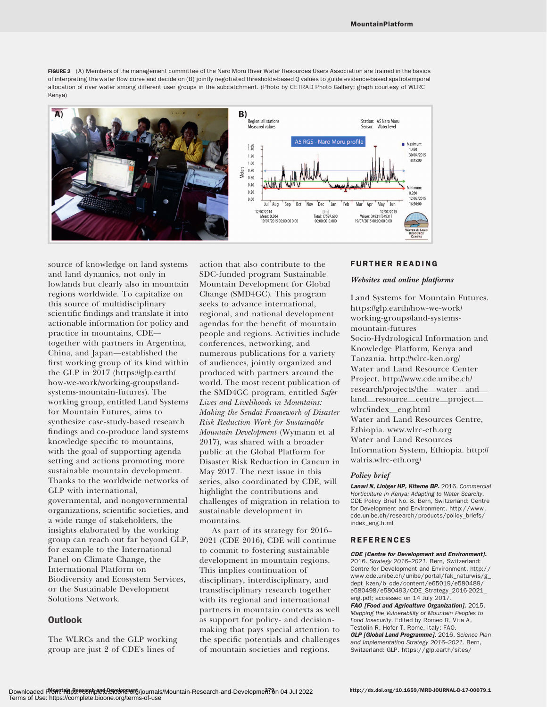FIGURE 2 (A) Members of the management committee of the Naro Moru River Water Resources Users Association are trained in the basics of interpreting the water flow curve and decide on (B) jointly negotiated thresholds-based Q values to guide evidence-based spatiotemporal allocation of river water among different user groups in the subcatchment. (Photo by CETRAD Photo Gallery; graph courtesy of WLRC Kenya)



source of knowledge on land systems and land dynamics, not only in lowlands but clearly also in mountain regions worldwide. To capitalize on this source of multidisciplinary scientific findings and translate it into actionable information for policy and practice in mountains, CDE together with partners in Argentina, China, and Japan—established the first working group of its kind within the GLP in 2017 [\(https://glp.earth/](https://glp.earth/how-we-work/working-groups/land-systems-mountain-futures) [how-we-work/working-groups/land](https://glp.earth/how-we-work/working-groups/land-systems-mountain-futures)[systems-mountain-futures\)](https://glp.earth/how-we-work/working-groups/land-systems-mountain-futures). The working group, entitled Land Systems for Mountain Futures, aims to synthesize case-study-based research findings and co-produce land systems knowledge specific to mountains, with the goal of supporting agenda setting and actions promoting more sustainable mountain development. Thanks to the worldwide networks of GLP with international, governmental, and nongovernmental organizations, scientific societies, and a wide range of stakeholders, the insights elaborated by the working group can reach out far beyond GLP, for example to the International Panel on Climate Change, the International Platform on Biodiversity and Ecosystem Services, or the Sustainable Development Solutions Network.

## **Outlook**

The WLRCs and the GLP working group are just 2 of CDE's lines of

action that also contribute to the SDC-funded program Sustainable Mountain Development for Global Change (SMD4GC). This program seeks to advance international, regional, and national development agendas for the benefit of mountain people and regions. Activities include conferences, networking, and numerous publications for a variety of audiences, jointly organized and produced with partners around the world. The most recent publication of the SMD4GC program, entitled Safer Lives and Livelihoods in Mountains: Making the Sendai Framework of Disaster Risk Reduction Work for Sustainable Mountain Development (Wymann et al 2017), was shared with a broader public at the Global Platform for Disaster Risk Reduction in Cancun in May 2017. The next issue in this series, also coordinated by CDE, will highlight the contributions and challenges of migration in relation to sustainable development in mountains.

As part of its strategy for 2016– 2021 (CDE 2016), CDE will continue to commit to fostering sustainable development in mountain regions. This implies continuation of disciplinary, interdisciplinary, and transdisciplinary research together with its regional and international partners in mountain contexts as well as support for policy- and decisionmaking that pays special attention to the specific potentials and challenges of mountain societies and regions.

#### FURTHER READING

#### Websites and online platforms

Land Systems for Mountain Futures. [https://glp.earth/how-we-work/](https://glp.earth/how-we-work/working-groups/land-systems-mountain-futures) [working-groups/land-systems](https://glp.earth/how-we-work/working-groups/land-systems-mountain-futures)[mountain-futures](https://glp.earth/how-we-work/working-groups/land-systems-mountain-futures) Socio-Hydrological Information and Knowledge Platform, Kenya and Tanzania.<http://wlrc-ken.org/> Water and Land Resource Center Project. [http://www.cde.unibe.ch/](http://www.cde.unibe.ch/research/projects/the_water_and_land_resource_centre_project_wlrc/index_eng.html) [research/projects/the\\_water\\_and\\_](http://www.cde.unibe.ch/research/projects/the_water_and_land_resource_centre_project_wlrc/index_eng.html) [land\\_resource\\_centre\\_project\\_](http://www.cde.unibe.ch/research/projects/the_water_and_land_resource_centre_project_wlrc/index_eng.html) [wlrc/index\\_eng.html](http://www.cde.unibe.ch/research/projects/the_water_and_land_resource_centre_project_wlrc/index_eng.html) Water and Land Resources Centre, Ethiopia. [www.wlrc-eth.org](http://www.wlrc-eth.org) Water and Land Resources Information System, Ethiopia. [http://](http://walris.wlrc-eth.org/) [walris.wlrc-eth.org/](http://walris.wlrc-eth.org/)

#### Policy brief

Lanari N, Liniger HP, Kiteme BP. 2016. Commercial Horticulture in Kenya: Adapting to Water Scarcity. CDE Policy Brief No. 8. Bern, Switzerland: Centre for Development and Environment. [http://www.](http://www.cde.unibe.ch/research/products/policy_briefs/index_eng.html) [cde.unibe.ch/research/products/policy\\_briefs/](http://www.cde.unibe.ch/research/products/policy_briefs/index_eng.html) [index\\_eng.html](http://www.cde.unibe.ch/research/products/policy_briefs/index_eng.html)

## REFERENCES

CDE [Centre for Development and Environment]. 2016. Strategy 2016–2021. Bern, Switzerland: Centre for Development and Environment. [http://](http://www.cde.unibe.ch/unibe/portal/fak_naturwis/g_dept_kzen/b_cde/content/e65019/e580489/e580498/e580493/CDE_Strategy_2016-2021_eng.pdf) [www.cde.unibe.ch/unibe/portal/fak\\_naturwis/g\\_](http://www.cde.unibe.ch/unibe/portal/fak_naturwis/g_dept_kzen/b_cde/content/e65019/e580489/e580498/e580493/CDE_Strategy_2016-2021_eng.pdf) [dept\\_kzen/b\\_cde/content/e65019/e580489/](http://www.cde.unibe.ch/unibe/portal/fak_naturwis/g_dept_kzen/b_cde/content/e65019/e580489/e580498/e580493/CDE_Strategy_2016-2021_eng.pdf) [e580498/e580493/CDE\\_Strategy\\_2016-2021\\_](http://www.cde.unibe.ch/unibe/portal/fak_naturwis/g_dept_kzen/b_cde/content/e65019/e580489/e580498/e580493/CDE_Strategy_2016-2021_eng.pdf) [eng.pdf;](http://www.cde.unibe.ch/unibe/portal/fak_naturwis/g_dept_kzen/b_cde/content/e65019/e580489/e580498/e580493/CDE_Strategy_2016-2021_eng.pdf) accessed on 14 July 2017. FAO [Food and Agriculture Organization]. 2015.

Mapping the Vulnerability of Mountain Peoples to Food Insecurity. Edited by Romeo R, Vita A, Testolin R, Hofer T. Rome, Italy: FAO. GLP [Global Land Programme]. 2016. Science Plan and Implementation Strategy 2016–2021. Bern, Switzerland: GLP. [https://glp.earth/sites/](https://glp.earth/sites/default/files/uploads/glpscienceplan_25_10_16.pdf)